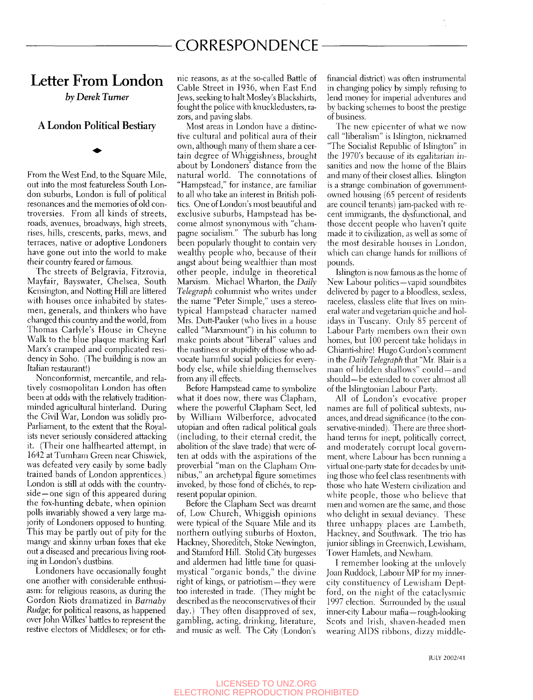# CORRESPONDENCE

### Letter From London

*by Derek Turner* 

### A London Political Bestiary

From the West End, to the Square Mile, out into the most featureless South London suburbs, London is full of political resonances and the memories of old controversies. From all kinds of streets, roads, avenues, broadways, high streets, rises, hills, crescents, parks, mews, and terraces, native or adoptive Londoners have gone out into the world to make their country feared or famous.

The streets of Belgravia, Fitzrovia, Mayfair, Bayswater, Chelsea, South Kensington, and Notting Hill are littered with houses once inhabited by statesmen, generals, and thinkers who have changed this country and the world, from Thomas Carlyle's House in Cheyne Walk to the blue plaque marking Karl Marx's cramped and complicated residency in Soho. (The building is now an Italian restaurant!)

Nonconformist, mercantile, and relatively cosmopolitan London has often been at odds with the relatively traditionminded agricultural hinterland. During the Civil War, London was solidly pro-Parliament, to the extent that the Royalists never seriously considered attacking it. (Their one halfhearted attempt, in 1642 at Turnham Green near Chiswick, was defeated very easily by some badly trained bands of London apprentices.) London is still at odds with the countryside—one sign of this appeared during the fox-hunting debate, when opinion polls invariably showed a very large majority of Londoners opposed to hunting. This may be partly out of pity for the mangy and skinny urban foxes that eke out a diseased and precarious living rooting in London's dustbins.

Londoners have occasionally fought one another with considerable enthusiasm: for religious reasons, as during the Gordon Riots dramatized in *Barnaby Rudge;* for political reasons, as happened over John Wilkes' battles to represent the restive electors of Middlesex; or for ethnic reasons, as at the so-called Battle of Cable Street in 1936, when East End Jews, seeking to halt Mosley's Blackshirts, fought the police with knuckledusters, razors, and paving slabs.

Most areas in London have a distinctive cultural and political aura of their own, although many of them share a certain degree of Whiggishness, brought about by Londoners' distance from the natural world. The connotations of "Hampstead," for instance, are familiar to all who take an interest in British politics. One of London's most beautiful and exclusive suburbs, Hampstead has become almost synonymous with "champagne socialism." The suburb has long been popularly thought to contain very wealthy people who, because of their angst about being wealthier than most other people, indulge in theoretical Marxism. Michael Wharton, the *Daily Telegraph* columnist who writes under the name "Peter Simple," uses a stereotypical Hampstead character named Mrs. Dutt-Pauker (who lives in a house called "Marxmount") in his column to make points about "liberal" values and the nastiness or stupidity of those who advocate harmful social policies for everybody else, while shielding themselves from any ill effects.

Before Hampstead came to symbolize what it does now, there was Clapham, where the powerful Clapham Sect, led by William Wilberforce, advocated utopian and often radical political goals (including, to their eternal credit, the abolition of the slave trade) that were often at odds with the aspirations of the proverbial "man on the Clapham Omnibus," an archetypal figure sometimes invoked, by those fond of cliches, to represent popular opinion.

Before the Clapham Sect was dreamt of. Low Church, Whiggish opinions were typical of the Square Mile and its northern outlying suburbs of Hoxton, Hackney, Shoreditch, Stoke Newington, and Stamford Hill. Stolid City burgesses and aldermen had litde time for quasimystical "organic bonds," the divine right of kings, or patriotism—they were too interested in trade. (They might be described as the neoconservatives of their day.) They often disapproved of sex, gambling, acting, drinking, literature, and music as well. The Citv (London's financial district) was often instrumental in changing policy by simply refusing to lend money for imperial adventures and by backing schemes to boost the prestige of business.

The new epicenter of what we now call "liberalism" is Islington, nicknamed "The Socialist Republic of Islington" in the 1970's because of its egalitarian insanities and now the home of the Blairs and many of their closest allies. Islington is a strange combination of governmentowned housing (65 percent of residents are council tenants) jam-packed with recent immigrants, the dysfunctional, and those decent people who haven't quite made it to civilization, as well as some of the most desirable houses in London, which can change hands for millions of pounds.

Islington is now famous as the home of New Labour politics—vapid soundbites delivered by pager to a bloodless, sexless, raceless, classless elite that lives on mineral water and vegetarian quiche and holidays in Tuscany. Only 85 percent of Labour Party members own their own homes, but 100 percent take holidays in Chianti-shire! Hugo Gurdon's comment in the *Daily Telegraph* that "Mr. Blair is a man of hidden shallows" could —and should—be extended to cover almost all of the Islingtonian Labour Party.

All of London's evocative proper names are full of political subtexts, nuances, and dread significance (to the conservative-minded). There are three shorthand terms for inept, politically correct, and moderately corrupt local government, where Labour has been running a virtual one-party state for decades by uniting those who feel class resentments with those who hate Western civilization and white people, those who believe that men and women are the same, and those who delight in sexual deviancy. These three unhappy places are Lambeth, Hackney, and Southwark. The trio has junior siblings in Greenwich, Lewisham, Tower Hamlets, and Newham.

I remember looking at the unlovely Joan Ruddock, Labour MP for my innercity constituency of Lewisham Deptford, on the night of the cataclysmic 1997 election. Surrounded by the usual inner-city Labour mafia —rough-looking Scots and Irish, shaven-headed men wearing AIDS ribbons, dizzy middle-

iULY 2002/41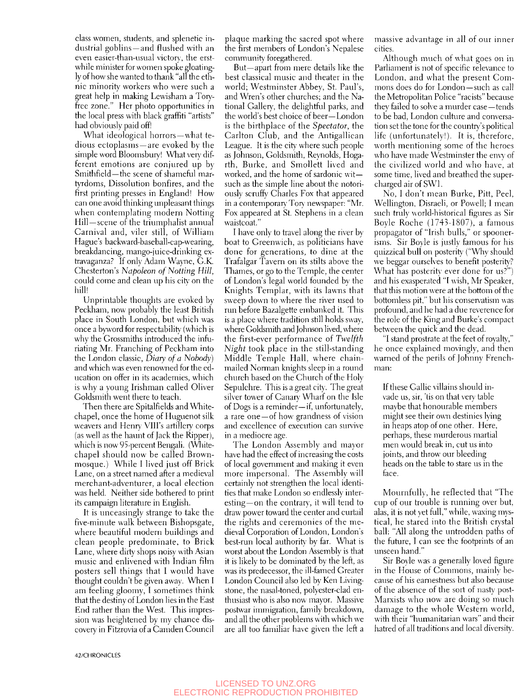class women, students, and splenetic industrial goblins —and flushed with an even easier-than-usual victory, the erstwhile minister for women spoke gloatingly of how she wanted to thank "all the ethnic minority workers who were such a great help in making Lewisham a Toryfree zone." Her photo opportimities in the local press with black graffiti "artists" had obviously paid off!

What ideological horrors —what tedious ectoplasms —are evoked by the simple word Bloomsbury! What very different emotions are conjured up by Smithfield—the scene of shameful martyrdoms. Dissolution bonfires, and the first printing presses in England! How can one avoid thinking unpleasant things when contemplating modern Notting Hill—scene of the triumphalist annual Carnival and, viler still, of William Hague's backward-baseball-cap-wearing, breakdancing, mango-juice-drinking extravaganza? If only Adam Wayne, G.K. Chesterton's Napoleon of Notting Hill, could come and clean up his city on the hill!

Unprintable thoughts are evoked by Peckham, now probably the least British place in South London, but which was once a byword for respectability (which is why the Grossmiths introduced the infuriating Mr. Franching of Peckham into the London classic, *Diary of a Nobody)*  and which was even renowned for the education on offer in its academies, which is why a young Irishman called Oliver Goldsmith went there to teach.

Then there are Spitalfields and Wiitechapel, once the home of Huguenot silk weavers and Henry VIII's artillery corps (as well as the haunt of Jack the Ripper), which is now 95-percent Bengali. (Whitechapel should now be called Brownmosque.) While I lived just off Brick Lane, on a street named after a medieval merchant-adventurer, a local election was held. Neither side bothered to print its campaign literature in English.

It is unceasingly strange to take the five-minute walk between Bishopsgate, where beautiful modern buildings and clean people predominate, to Brick Lane, where dirty shops noisy with Asian music and enlivened with Indian film posters sell things that I would have thought couldn't be given away. When I am feeling gloomy, I sometimes think that the destiny of London lies in the East End rather than the West. This impression was heightened by my chance discovery in Fitzrovia of a Camden Council plaque marking the sacred spot where the first members of London's Nepalese communit}' foregathered.

But—apart from mere details like the best classical music and theater in the world; Westminster Abbey, St. Paul's, and Wren's other churches; and the National Gallery, the delightful parks, and the world's best choice of beer—London is the birthplace of the *Spectator,* the Carlton Club, and the Antigallican League. It is the city where such people as Johnson, Goldsmith, Reynolds, Hogarth, Burke, and Smollett lived and worked, and the home of sardonic wit such as the simple line about the notoriously scruffy Charles Fox that appeared in a contemporary Tory newspaper: "Mr. Fox appeared at St. Stephens in a clean waistcoat."

I have only to travel along the river by boat to Greenwich, as politicians have done for generations, to dine at the Trafalgar Tavern on its stilts above the Thames, or go to the Temple, the center of London's legal world founded by the Knights Templar, with its lawns that sweep down to where the river used to run before Bazalgette embanked it. This is a place where tradition still holds sway, where Goldsmith and Johnson lived, where the first-ever performance of *Twelfth Night* took place in the still-standing Middle Temple Hall, where chainmailed Norman knights sleep in a round church based on the Church of the Holy Sepulchre. This is a great city. The great silver tower of Canary Wharf on the Isle of Dogs is a reminder—if, unfortunately, a rare one —of how grandness of vision and excellence of execution can survive in a mediocre age.

The London Assembly and mayor have had the effect of increasing the costs of local government and making it even more impersonal. The Assembly will certainly not strengthen the local identities that make London so endlessly inter $esting$ —on the contrary, it will tend to draw power toward the center and curtail the rights and ceremonies of the medieval Corporation of London, London's best-run local authority by far. What is worst about the London Assembly is that it is likely to be dominated by the left, as was its predecessor, the ill-famed Greater London Council also led by Ken Livingstone, the nasal-toned, polyester-clad enthusiast who is also now mayor. Massive postwar immigration, family breakdown, and all the other problems with which we are all too familiar have given the left a

massive advantage in all of our inner cities.

Although much of what goes on in Parliament is not of specific relevance to London, and what the present Commons does do for London—such as call the Metropolitan Police "racists" because they failed to solve a murder case—tends to be bad, London culture and conversation set the tone for the country's political life (unfortunately!). It is, therefore, worth mentioning some of the heroes who have made Westminster the envy of the civilized world and who have, at some time, lived and breathed the supercharged air of SWl.

No, I don't mean Burke, Pitt, Peel, Wellington, Disraeli, or Powell; I mean such truly world-historical figures as Sir Boyle Roche (1743-1807), a famous propagator of "Irish bulls," or spoonerisms. Sir Boyle is justly famous for his quizzical bull on posterity ("Why should we beggar ourselves to benefit posterity? What has posterity ever done for us?") and his exasperated "I wish, Mr Speaker, that this motion were at the bottom of the bottomless pit," but his conservatism was profound, and he had a due reverence for the role of the King and Burke's compact between the quick and the dead.

"I stand prostrate at the feet of royalty," he once explained movingly, and then warned of the perils of Johnny Frenchman:

If these Gallic villains should invade us, sir, 'tis on that *ven* table maybe that honourable members might see their own destinies lying in heaps atop of one other. Here, perhaps, these murderous martial men would break in, cut us into joints, and throw our bleeding heads on the table to stare us in the face.

Mournfully, he reflected that "The cup of our trouble is rimning over but, alas, it is not yet full," while, waxing mystical, he stared into the British crystal ball: "All along the untrodden paths of the future, I can see the footprints of an unseen hand."

Sir Boyle was a generally loved figure in the House of Commons, mainly because of his earnestness but also because of the absence of the sort of nasty post-Marxists who now are doing so much damage to the whole Western world, with their "humanitarian wars" and their hatred of all traditions and local diversity.